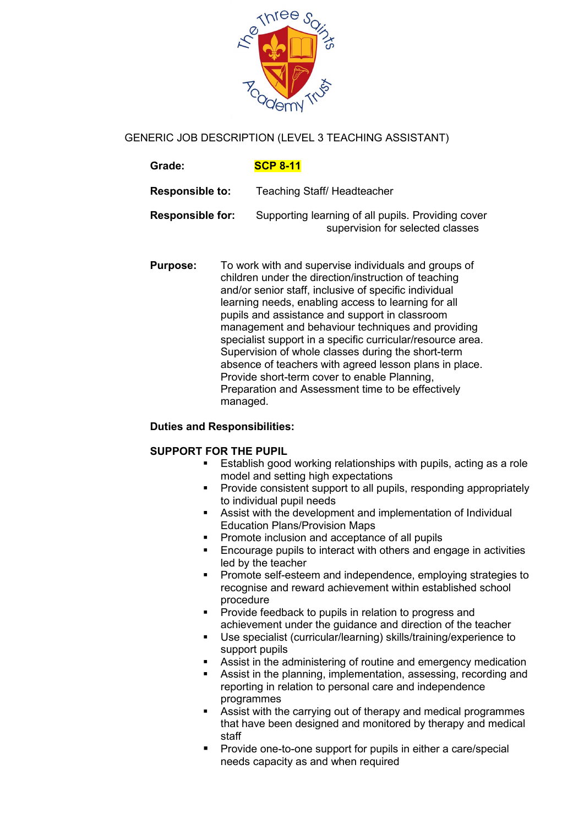

# GENERIC JOB DESCRIPTION (LEVEL 3 TEACHING ASSISTANT)

| Grade:                  | <b>SCP 8-11</b>                                                                        |
|-------------------------|----------------------------------------------------------------------------------------|
| <b>Responsible to:</b>  | <b>Teaching Staff/ Headteacher</b>                                                     |
| <b>Responsible for:</b> | Supporting learning of all pupils. Providing cover<br>supervision for selected classes |

**Purpose:** To work with and supervise individuals and groups of children under the direction/instruction of teaching and/or senior staff, inclusive of specific individual learning needs, enabling access to learning for all pupils and assistance and support in classroom management and behaviour techniques and providing specialist support in a specific curricular/resource area. Supervision of whole classes during the short-term absence of teachers with agreed lesson plans in place. Provide short-term cover to enable Planning, Preparation and Assessment time to be effectively managed.

### **Duties and Responsibilities:**

### **SUPPORT FOR THE PUPIL**

- **Establish good working relationships with pupils, acting as a role** model and setting high expectations
- **Provide consistent support to all pupils, responding appropriately** to individual pupil needs
- Assist with the development and implementation of Individual Education Plans/Provision Maps
- **Promote inclusion and acceptance of all pupils**
- **Encourage pupils to interact with others and engage in activities** led by the teacher
- **Promote self-esteem and independence, employing strategies to** recognise and reward achievement within established school procedure
- **Provide feedback to pupils in relation to progress and** achievement under the guidance and direction of the teacher
- Use specialist (curricular/learning) skills/training/experience to support pupils
- Assist in the administering of routine and emergency medication
- Assist in the planning, implementation, assessing, recording and reporting in relation to personal care and independence programmes
- Assist with the carrying out of therapy and medical programmes that have been designed and monitored by therapy and medical staff
- **Provide one-to-one support for pupils in either a care/special** needs capacity as and when required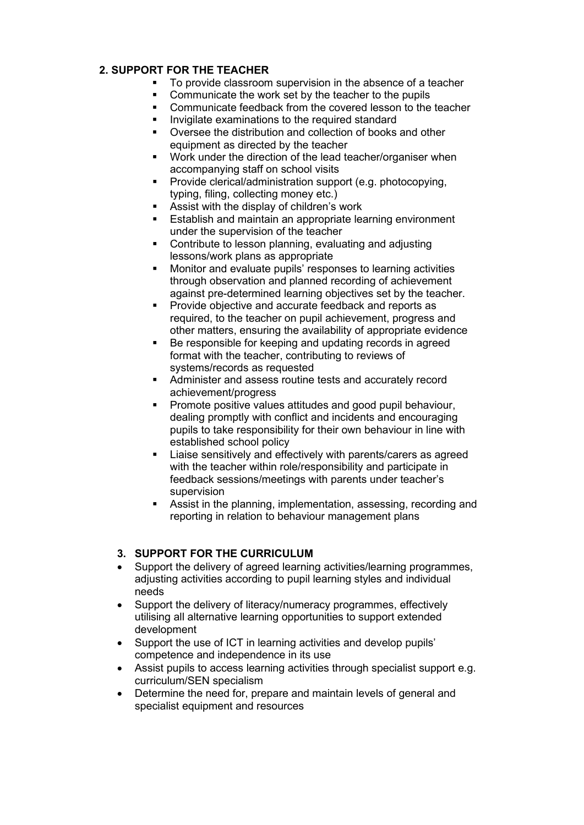## **2. SUPPORT FOR THE TEACHER**

- To provide classroom supervision in the absence of a teacher<br>■ Communicate the work set by the teacher to the punils
- Communicate the work set by the teacher to the pupils<br>• Communicate feadback from the covered lesson to the
- Communicate feedback from the covered lesson to the teacher
- **IDED** Invigilate examinations to the required standard
- Oversee the distribution and collection of books and other equipment as directed by the teacher
- **Work under the direction of the lead teacher/organiser when** accompanying staff on school visits
- **Provide clerical/administration support (e.g. photocopying,** typing, filing, collecting money etc.)
- Assist with the display of children's work
- Establish and maintain an appropriate learning environment under the supervision of the teacher
- Contribute to lesson planning, evaluating and adjusting lessons/work plans as appropriate
- Monitor and evaluate pupils' responses to learning activities through observation and planned recording of achievement against pre-determined learning objectives set by the teacher.
- Provide objective and accurate feedback and reports as required, to the teacher on pupil achievement, progress and other matters, ensuring the availability of appropriate evidence
- Be responsible for keeping and updating records in agreed format with the teacher, contributing to reviews of systems/records as requested
- Administer and assess routine tests and accurately record achievement/progress
- Promote positive values attitudes and good pupil behaviour, dealing promptly with conflict and incidents and encouraging pupils to take responsibility for their own behaviour in line with established school policy
- Liaise sensitively and effectively with parents/carers as agreed with the teacher within role/responsibility and participate in feedback sessions/meetings with parents under teacher's supervision
- Assist in the planning, implementation, assessing, recording and reporting in relation to behaviour management plans

### **3. SUPPORT FOR THE CURRICULUM**

- Support the delivery of agreed learning activities/learning programmes, adjusting activities according to pupil learning styles and individual needs
- Support the delivery of literacy/numeracy programmes, effectively utilising all alternative learning opportunities to support extended development
- Support the use of ICT in learning activities and develop pupils' competence and independence in its use
- Assist pupils to access learning activities through specialist support e.g. curriculum/SEN specialism
- Determine the need for, prepare and maintain levels of general and specialist equipment and resources